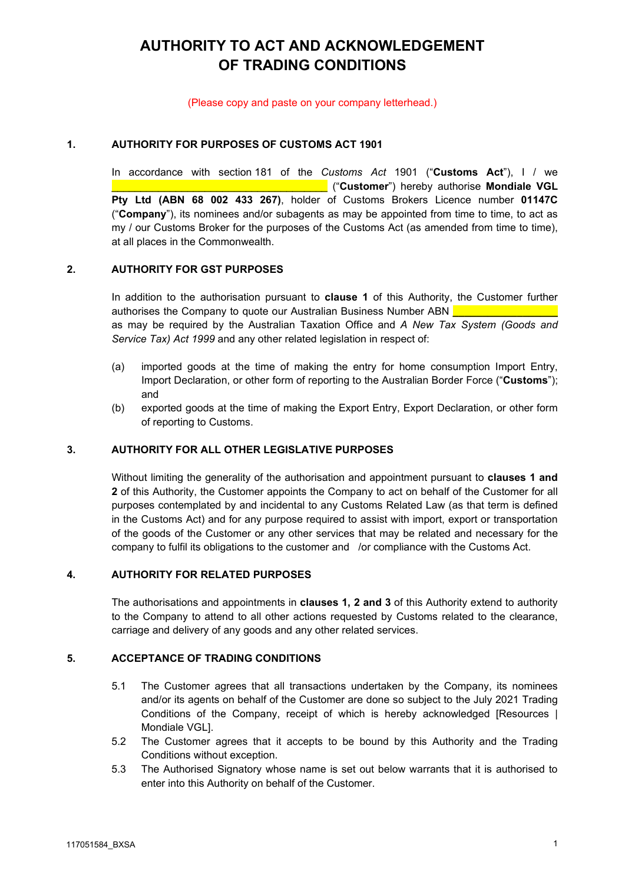# **AUTHORITY TO ACT AND ACKNOWLEDGEMENT OF TRADING CONDITIONS**

#### (Please copy and paste on your company letterhead.)

### **1. AUTHORITY FOR PURPOSES OF CUSTOMS ACT 1901**

In accordance with section 181 of the *Customs Act* 1901 ("**Customs Act**"), I / we \_\_\_\_\_\_\_\_\_\_\_\_\_\_\_\_\_\_\_\_\_\_\_\_\_\_\_\_\_\_\_\_\_\_\_\_\_ ("**Customer**") hereby authorise **Mondiale VGL Pty Ltd (ABN 68 002 433 267)**, holder of Customs Brokers Licence number **01147C** ("**Company**"), its nominees and/or subagents as may be appointed from time to time, to act as my / our Customs Broker for the purposes of the Customs Act (as amended from time to time), at all places in the Commonwealth.

### **2. AUTHORITY FOR GST PURPOSES**

In addition to the authorisation pursuant to **clause 1** of this Authority, the Customer further authorises the Company to quote our Australian Business Number ABN **\_\_\_\_\_\_\_\_\_\_\_\_\_\_\_\_\_\_** as may be required by the Australian Taxation Office and *A New Tax System (Goods and Service Tax) Act 1999* and any other related legislation in respect of:

- (a) imported goods at the time of making the entry for home consumption Import Entry, Import Declaration, or other form of reporting to the Australian Border Force ("**Customs**"); and
- (b) exported goods at the time of making the Export Entry, Export Declaration, or other form of reporting to Customs.

### **3. AUTHORITY FOR ALL OTHER LEGISLATIVE PURPOSES**

Without limiting the generality of the authorisation and appointment pursuant to **clauses 1 and 2** of this Authority, the Customer appoints the Company to act on behalf of the Customer for all purposes contemplated by and incidental to any Customs Related Law (as that term is defined in the Customs Act) and for any purpose required to assist with import, export or transportation of the goods of the Customer or any other services that may be related and necessary for the company to fulfil its obligations to the customer and /or compliance with the Customs Act.

### **4. AUTHORITY FOR RELATED PURPOSES**

The authorisations and appointments in **clauses 1, 2 and 3** of this Authority extend to authority to the Company to attend to all other actions requested by Customs related to the clearance, carriage and delivery of any goods and any other related services.

### **5. ACCEPTANCE OF TRADING CONDITIONS**

- 5.1 The Customer agrees that all transactions undertaken by the Company, its nominees and/or its agents on behalf of the Customer are done so subject to the July 2021 Trading Conditions of the Company, receipt of which is hereby acknowledged [Resources | [Mondiale VGL\]](https://mondialevgl.com/resource/#trading-terms).
- 5.2 The Customer agrees that it accepts to be bound by this Authority and the Trading Conditions without exception.
- 5.3 The Authorised Signatory whose name is set out below warrants that it is authorised to enter into this Authority on behalf of the Customer.